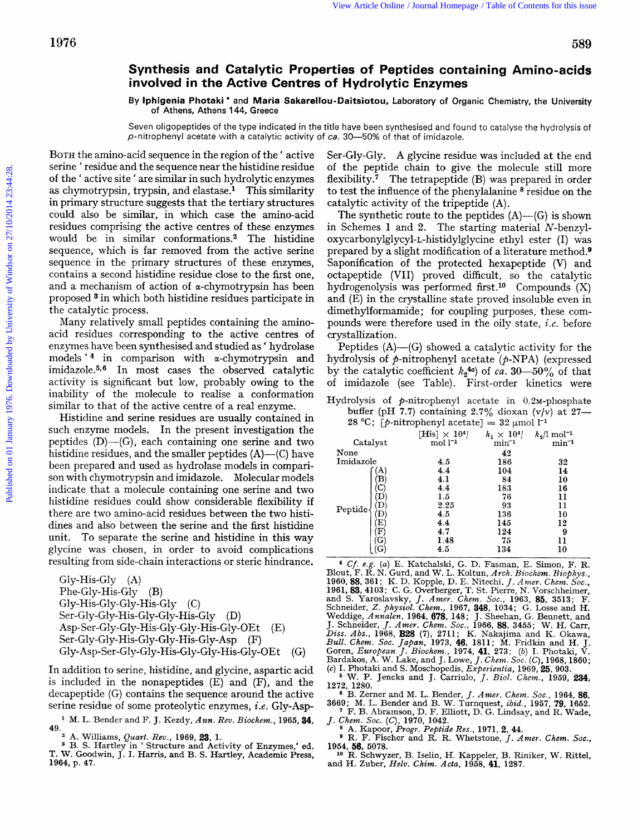## **Synthesis and Catalytic Properties of Peptides containing Amino-acids involved in the Active Centres of Hydrolytic Enzymes**

**By lphigenia Photaki** \* **and Maria Sakarellou-Daitsiotou,** laboratory **of** Organic Chemistry, the University **of** Athens, Athens **144,** Greece

Seven oligopeptides of the type indicated *in* the title have been synthesised and found to catalyse the hydrolysis of p-nitrophenyl acetate with a catalytic activity of *ca.* **30--50%** of that of imidazole.

BOTH the amino-acid sequence in the region of the ' active serine ' residue and the sequence near the histidine residue of the ' active site ' are similar in such hydrolytic enzymes as chymotrypsin, trypsin, and elastase.<sup>1</sup> This similarity in primary structure suggests that the tertiary structures could also be similar, in which case the amino-acid residues comprising the active centres of these enzymes would be in similar conformations.2 The histidine sequence, which is far removed from the active serine sequence in the primary structures of these enzymes, contains a second histidine residue close to the first one, and a mechanism of action of  $\alpha$ -chymotrypsin has been proposed **3** in which both histidine residues participate in the catalytic process. Published on **Synthesis and Catalytic Properties of Peptides containing Amino-edds**<br> **By involved in the Active Centres of Peptides containing Amino-edds**<br> **By higher Published Published Catalytic Changes Saxedles-Distric** 

Many relatively small peptides containing the aminoacid residues corresponding to the active centres of enzymes have been synthesised and studied as ' hydrolase models  $'$ <sup>4</sup> in comparison with  $\alpha$ -chymotrypsin and imidazole.<sup>5,6</sup> In most cases the observed catalytic activity is significant but low, probably owing to the inability of the molecule to realise a conformation similar to that of the active centre of a real enzyme.

Histidine and serine residues are usually contained in such enzyme models. In the present investigation the peptides  $(D)$ — $(G)$ , each containing one serine and two histidine residues, and the smaller peptides (A)—(C) have been prepared and used as hydrolase models in comparison with chymotrypsin and imidazole. Molecular models indicate that a molecule containing one serine and two histidine residues could show considerable flexibility if there are two amino-acid residues between the two histidines and also between the serine **and** the first histidine unit. To separate the serine and histidine in this way glycine was chosen, in order to avoid complications resulting from side-chain interactions or steric hindrance.

Gly-His-GIy **(A)**  Phe-Gly-His-Gly (B) Gly-His-Gly-Gly-His-Gly (C) Ser-Gly-Gly-His-Gly-Gly-His-Gly (D) **Asp-Ser-Gly-Gly-His-Gly-Gly-His-Gly-OEt** (E) **Ser-Gly-Gly-His-Gly-Gly-His-Gly-Asp** (F) **Gly-Asp-Ser-Gly-GIy-His-Gly-Gly-His-Gly-OEt** *(G)* 

In addition to serine, histidine, and glycine, aspartic acid is included in the nonapeptides (E) and (F), and the decapeptide (G) contains the sequence around the active serine residue of some proteolytic enzymes, *i.e.* Gly-Asp-

M. **L.** Bender and F. J. Kezdy, *Ann. Rev. Biochem.,* **1965,34, 49.** 

<sup>2</sup> A. Williams, *Quart. Rev.*, 1969, **23**, 1.<br>
<sup>3</sup> B. S. Hartley in 'Structure and Activity of Enzymes,' ed. T. W. Goodwin, J. I. Harris, and B. S. Hartley, Academic Press, **1964, p. 47.** 

Ser-Gly-Gly. **A** glycine residue was included at the end of the peptide chain to give the molecule still more flexibility. $7$  The tetrapeptide (B) was prepared in order to test the influence of the phenylalanine \* residue on the catalytic activity of the tripeptide **(A).** 

The synthetic route to the peptides  $(A)$ — $(G)$  is shown in Schemes **1** and **2.** The starting material N-benzyl**oxycarbonylglycyl-L-histidylglycine** ethyl ester (I) was prepared by a slight modification of a literature method.<sup>9</sup> Saponification of the protected hexapeptide (V) and octapeptide (VII) proved difficult, so the catalytic hydrogenolysis was performed first **.lo** Compounds (X) and (E) in the crystalline state proved insoluble even in dimethylformamide ; for coupling purposes, these compounds were therefore used in the oily state, *i.e.* before crystallization.

Peptides  $(A)$ — $(G)$  showed a catalytic activity for the hydrolysis of  $p$ -nitrophenyl acetate ( $p$ -NPA) (expressed by the catalytic coefficient  $k_2$ <sup>4*a*</sup>) of *ca.* 30-50% of that of imidazole (see Table). First-order kinetics were

Hydrolysis **of** P-nitrophenyl acetate in 0.2M-phosphate **buffer** (pH **7.7)** containing **2.7%** dioxan **(v/v)** at **27-** 

28 °C; [p-nitrophenyl acetate] =  $32 \text{ }\mu\text{mol}$  l<sup>-1</sup>

| Catalyst  | [His] $\times$ 10 <sup>4</sup> /<br>$\mathrm{mol}\, \mathrm{l}^{-1}$ | $k_1 \times 10^{4}$<br>$min^{-1}$ | $k_2$ /l mol <sup>-1</sup><br>$min^{-1}$ |
|-----------|----------------------------------------------------------------------|-----------------------------------|------------------------------------------|
| None      |                                                                      | 42                                |                                          |
| Imidazole | 4.5                                                                  | 186                               | 32                                       |
|           | 4.4                                                                  | 104                               | 14                                       |
| в         | 4.1                                                                  | 84                                | 10                                       |
|           | 4.4                                                                  | 183                               | 16                                       |
| D         | 1.5                                                                  | 76                                | 11                                       |
| Peptide   | 2.25                                                                 | 93                                | 11                                       |
|           | 4.5                                                                  | 136                               | 10                                       |
| Ε         | 4.4                                                                  | 145                               | 12                                       |
| F         | 4.7                                                                  | 124                               | 9                                        |
| G         | 1.48                                                                 | 75                                | 11                                       |
|           | 4.5                                                                  | 134                               | 10                                       |

<sup>4</sup> Cf. e.g. (a) E. Katchalski, G. D. Fasman, E. Simon, F. R. Blout, F. R. N. Gurd, and W. L. Koltun, Arch. Biochem. Biophys., 1960, **88**, 361; K. D. Kopple, D. E. Nitechi, *J. Amer. Chem. Soc.*, 1961, **83**, 4103; C. G. O J. Schneider, *J. Amer. Chem. Soc.*, 1966, 88, 3455; W. H. Carr, *Diss. Abs.*, 1968, **B28** (7), 2711; K. Nakajima and K. Okawa, *Bull. Chem. Soc. Japan*, 1973, **46**, 1811; M. Fridkin and H. J. Goren, *European J. Biochem.* 

<sup>6</sup> B. Zerner and M. L. Bender, *J. Amer. Chem. Soc.*, 1964, **86**, 3669; M. L. Bender and B. W. Turnquest, *ibid.*, 1957, 79, 1652.

*J. Chem. Soc.* (C), 1970, 1042.<br>
<sup>8</sup> A. Kapoor, *Progr. Peptide Res.*, 1971, 2, 44.<br>
<sup>9</sup> R. F. Fischer and R. R. Whetstone, *J. Amer. Chem. Soc.*,

**1954, 56, 5078. lo R.** Schwyzer, B. Iselin, **H.** Kappeler, B. Riniker, **W.** Rittel,

and H. Zuber, *Helv. Chim. Acta,* **1968, 41, 1287.**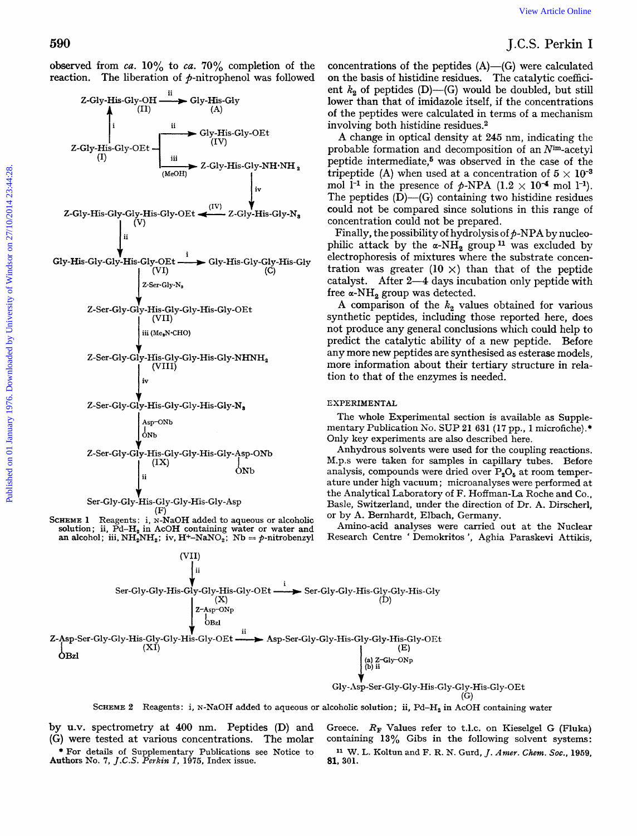## J.C.S. **Perkin** I

concentrations of the peptides (A)-(G) were calculated on the basis of histidine residues. The catalytic coefficient  $k_2$  of peptides (D)–(G) would be doubled, but still lower than that of imidazole itself, if the concentrations of the peptides were calculated in terms of a mechanism involving both histidine residues.2

**A** change in optical density at **245** nm, indicating the probable formation and decomposition of an  $N<sup>im</sup>$ -acetyl peptide intermediate, $5$  was observed in the case of the tripeptide (A) when used at a concentration of  $5 \times 10^{-3}$ mol  $1^{-1}$  in the presence of  $p$ -NPA  $(1.2 \times 10^{-4} \text{ mol } 1^{-1})$ . The peptides  $(D)$ — $(G)$  containing two histidine residues could not be compared since solutions in this range of concentration could not be prepared.

Finally, the possibility of hydrolysis of  $p$ -NPA by nucleophilic attack by the  $\alpha$ -NH<sub>2</sub> group<sup>11</sup> was excluded by electrophoresis of mixtures where the substrate concentration was greater  $(10 \times)$  than that of the peptide catalyst. After 2-4 days incubation only peptide with free  $\alpha$ -NH<sub>2</sub> group was detected.

A comparison of the  $k_2$  values obtained for various synthetic peptides, including those reported here, does not produce any general conclusions which could help to predict the catalytic ability of a new peptide. Before any more new peptides are synthesised as esterase models, more information about their tertiary structure in relation to that of the enzymes is needed.

## **EXPERIMENTAL**

The whole Experimental section is available as Supplementary Publication *No.* SUP **21 631 (17** pp., **1** microfiche).\* Only key experiments are also described here.

Anhydrous solvents were used for the coupling reactions. **M.p.s** were taken for samples in capillary tubes. Before analysis, compounds were dried over  $P_2O_5$  at room temperature under high vacuum ; microanalyses were performed at the Analytical Laboratory **of** F. Hoffman-La Roche and Co., Basle, Switzerland, under the direction *of* Dr. **A.** Dirscherl, or by **A.** Bernhardt, Elbach, Germany.

Amino-acid analyses were carried out at the Nuclear Research Centre ' Demokritos ', Aghia Paraskevi Attikis,



**SCHEME 2** Reagents: i, N-NaOH added to aqueous or alcoholic solution; ii, Pd-H, in AcOH containing water

by **U.V.** spectrometry at **400** nm. Peptides (D) and *(G)* were tested at various concentrations. The molar Authors No. **7,** J.C.S. *Perkin I,* **1975,** Index issue. \* **For** details **of** Supplementary Publications see Notice to

Greece. *RF* Values refer to t.1.c. on Kieselgel G (Fluka) containing **13%** Gibs in the following solvent systems: W. L. Koltun and F. **R.** N. Gurd, J. *Amer. Chew. SOC.,* **1959, 81, 301.** 



observed from *ca.* **10%** to *ca.* **70%** completion **of** the reaction. The liberation of  $p$ -nitrophenol was followed